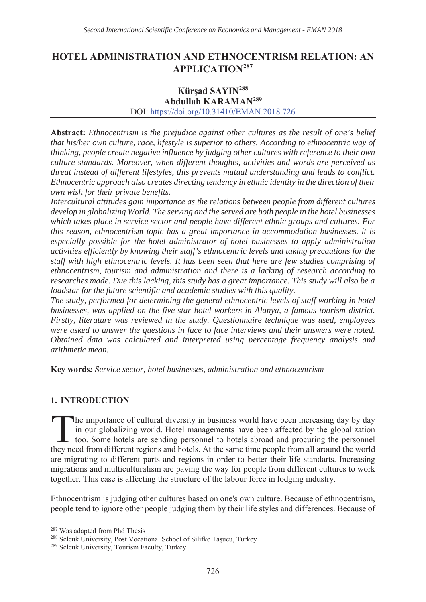# **HOTEL ADMINISTRATION AND ETHNOCENTRISM RELATION: AN APPLICATION<sup>287</sup>**

# **Kürsad SAYIN<sup>288</sup>**

#### Abdullah KARAMAN<sup>289</sup>

DOI: https://doi.org/10.31410/EMAN.2018.726

**Abstract:** Ethnocentrism is the prejudice against other cultures as the result of one's belief *that his/her own culture, race, lifestyle is superior to others. According to ethnocentric way of thinking, people create negative influence by judging other cultures with reference to their own culture standards. Moreover, when different thoughts, activities and words are perceived as threat instead of different lifestyles, this prevents mutual understanding and leads to conflict. Ethnocentric approach also creates directing tendency in ethnic identity in the direction of their own wish for their private benefits.* 

*Intercultural attitudes gain importance as the relations between people from different cultures develop in globalizing World. The serving and the served are both people in the hotel businesses which takes place in service sector and people have different ethnic groups and cultures. For this reason, ethnocentrism topic has a great importance in accommodation businesses. it is especially possible for the hotel administrator of hotel businesses to apply administration activities efficiently by knowing their staff's ethnocentric levels and taking precautions for the staff with high ethnocentric levels. It has been seen that here are few studies comprising of ethnocentrism, tourism and administration and there is a lacking of research according to researches made. Due this lacking, this study has a great importance. This study will also be a loadstar for the future scientific and academic studies with this quality.* 

*The study, performed for determining the general ethnocentric levels of staff working in hotel businesses, was applied on the five-star hotel workers in Alanya, a famous tourism district. Firstly, literature was reviewed in the study. Questionnaire technique was used, employees were asked to answer the questions in face to face interviews and their answers were noted. Obtained data was calculated and interpreted using percentage frequency analysis and arithmetic mean.* 

Key words: Service sector, hotel businesses, administration and ethnocentrism

#### **1. INTRODUCTION**

The importance of cultural diversity in business world have been increasing day by day in our globalizing world. Hotel managements have been affected by the globalization too. Some hotels are sending personnel to hotels abroad and procuring the personnel The importance of cultural diversity in business world have been increasing day by day in our globalizing world. Hotel managements have been affected by the globalization too. Some hotels are sending personnel to hotels ab are migrating to different parts and regions in order to better their life standarts. Increasing migrations and multiculturalism are paving the way for people from different cultures to work together. This case is affecting the structure of the labour force in lodging industry.

Ethnocentrism is judging other cultures based on one's own culture. Because of ethnocentrism, people tend to ignore other people judging them by their life styles and differences. Because of

<sup>287</sup> Was adapted from Phd Thesis

<sup>&</sup>lt;sup>288</sup> Selcuk University, Post Vocational School of Silifke Taşucu, Turkey

<sup>&</sup>lt;sup>289</sup> Selcuk University, Tourism Faculty, Turkey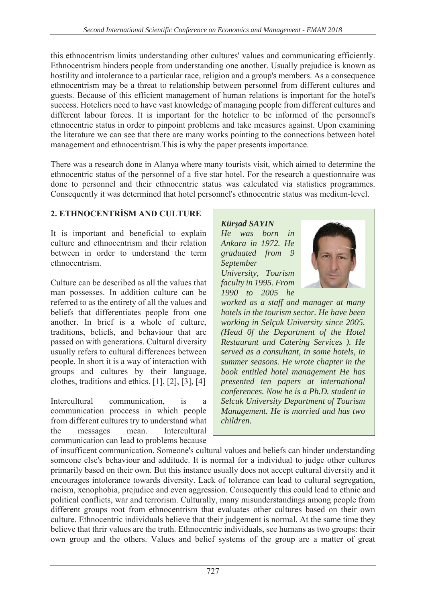this ethnocentrism limits understanding other cultures' values and communicating efficiently. Ethnocentrism hinders people from understanding one another. Usually prejudice is known as hostility and intolerance to a particular race, religion and a group's members. As a consequence ethnocentrism may be a threat to relationship between personnel from different cultures and guests. Because of this efficient management of human relations is important for the hotel's success. Hoteliers need to have vast knowledge of managing people from different cultures and different labour forces. It is important for the hotelier to be informed of the personnel's ethnocentric status in order to pinpoint problems and take measures against. Upon examining the literature we can see that there are many works pointing to the connections between hotel management and ethnocentrism. This is why the paper presents importance.

There was a research done in Alanya where many tourists visit, which aimed to determine the ethnocentric status of the personnel of a five star hotel. For the research a questionnaire was done to personnel and their ethnocentric status was calculated via statistics programmes. Consequently it was determined that hotel personnel's ethnocentric status was medium-level.

# 2. ETHNOCENTRISM AND CULTURE

It is important and beneficial to explain culture and ethnocentrism and their relation between in order to understand the term ethnocentrism.

Culture can be described as all the values that man possesses. In addition culture can be referred to as the entirety of all the values and beliefs that differentiates people from one another. In brief is a whole of culture, traditions, beliefs, and behaviour that are passed on with generations. Cultural diversity usually refers to cultural differences between people. In short it is a way of interaction with groups and cultures by their language, clothes, traditions and ethics.  $[1]$ ,  $[2]$ ,  $[3]$ ,  $[4]$ 

**Intercultural** communication.  $is$ ā communication process in which people from different cultures try to understand what messages mean. Intercultural the communication can lead to problems because

**Kürsad SAYIN** He was born in Ankara in 1972. He graduated from 9 September University, Tourism faculty in 1995. From 1990 to 2005 he



worked as a staff and manager at many hotels in the tourism sector. He have been working in Selçuk University since 2005. (Head Of the Department of the Hotel Restaurant and Catering Services ). He served as a consultant, in some hotels, in summer seasons. He wrote chapter in the book entitled hotel management He has presented ten papers at international conferences. Now he is a Ph.D. student in **Selcuk University Department of Tourism** Management. He is married and has two children.

of insufficent communication. Someone's cultural values and beliefs can hinder understanding someone else's behaviour and additude. It is normal for a individual to judge other cultures primarily based on their own. But this instance usually does not accept cultural diversity and it encourages intolerance towards diversity. Lack of tolerance can lead to cultural segregation, racism, xenophobia, prejudice and even aggression. Consequently this could lead to ethnic and political conflicts, war and terrorism. Culturally, many misunderstandings among people from different groups root from ethnocentrism that evaluates other cultures based on their own culture. Ethnocentric individuals believe that their judgement is normal. At the same time they believe that thrir values are the truth. Ethnocentric individuals, see humans as two groups: their own group and the others. Values and belief systems of the group are a matter of great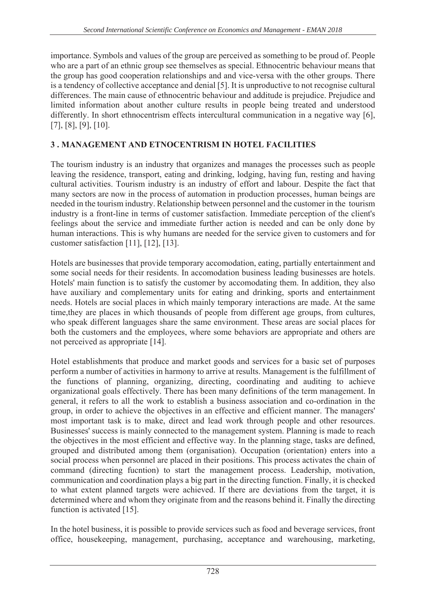importance. Symbols and values of the group are perceived as something to be proud of. People who are a part of an ethnic group see themselves as special. Ethnocentric behaviour means that the group has good cooperation relationships and and vice-versa with the other groups. There is a tendency of collective acceptance and denial [5]. It is unproductive to not recognise cultural differences. The main cause of ethnocentric behaviour and additude is prejudice. Prejudice and limited information about another culture results in people being treated and understood differently. In short ethnocentrism effects intercultural communication in a negative way [6],  $[7], [8], [9], [10].$ 

# **3. MANAGEMENT AND ETNOCENTRISM IN HOTEL FACILITIES**

The tourism industry is an industry that organizes and manages the processes such as people leaving the residence, transport, eating and drinking, lodging, having fun, resting and having cultural activities. Tourism industry is an industry of effort and labour. Despite the fact that many sectors are now in the process of automation in production processes, human beings are needed in the tourism industry. Relationship between personnel and the customer in the tourism industry is a front-line in terms of customer satisfaction. Immediate perception of the client's feelings about the service and immediate further action is needed and can be only done by human interactions. This is why humans are needed for the service given to customers and for customer satisfaction [11], [12], [13].

Hotels are businesses that provide temporary accomodation, eating, partially entertainment and some social needs for their residents. In accomodation business leading businesses are hotels. Hotels' main function is to satisfy the customer by accomodating them. In addition, they also have auxiliary and complementary units for eating and drinking, sports and entertainment needs. Hotels are social places in which mainly temporary interactions are made. At the same time, they are places in which thousands of people from different age groups, from cultures, who speak different languages share the same environment. These areas are social places for both the customers and the employees, where some behaviors are appropriate and others are not perceived as appropriate [14].

Hotel establishments that produce and market goods and services for a basic set of purposes perform a number of activities in harmony to arrive at results. Management is the fulfillment of the functions of planning, organizing, directing, coordinating and auditing to achieve organizational goals effectively. There has been many definitions of the term management. In general, it refers to all the work to establish a business association and co-ordination in the group, in order to achieve the objectives in an effective and efficient manner. The managers' most important task is to make, direct and lead work through people and other resources. Businesses' success is mainly connected to the management system. Planning is made to reach the objectives in the most efficient and effective way. In the planning stage, tasks are defined, grouped and distributed among them (organisation). Occupation (orientation) enters into a social process when personnel are placed in their positions. This process activates the chain of command (directing fucntion) to start the management process. Leadership, motivation, communication and coordination plays a big part in the directing function. Finally, it is checked to what extent planned targets were achieved. If there are deviations from the target, it is determined where and whom they originate from and the reasons behind it. Finally the directing function is activated [15].

In the hotel business, it is possible to provide services such as food and beverage services, front office, housekeeping, management, purchasing, acceptance and warehousing, marketing,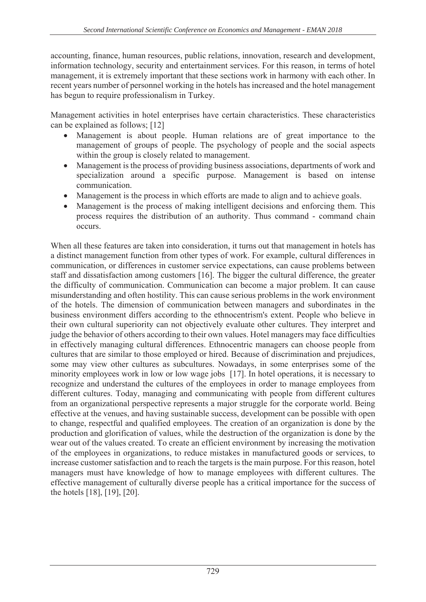accounting, finance, human resources, public relations, innovation, research and development, information technology, security and entertainment services. For this reason, in terms of hotel management, it is extremely important that these sections work in harmony with each other. In recent years number of personnel working in the hotels has increased and the hotel management has begun to require professionalism in Turkey.

Management activities in hotel enterprises have certain characteristics. These characteristics can be explained as follows;  $[12]$ 

- Management is about people. Human relations are of great importance to the management of groups of people. The psychology of people and the social aspects within the group is closely related to management.
- Management is the process of providing business associations, departments of work and specialization around a specific purpose. Management is based on intense communication.
- Management is the process in which efforts are made to align and to achieve goals.
- Management is the process of making intelligent decisions and enforcing them. This process requires the distribution of an authority. Thus command - command chain occurs.

When all these features are taken into consideration, it turns out that management in hotels has a distinct management function from other types of work. For example, cultural differences in communication, or differences in customer service expectations, can cause problems between staff and dissatisfaction among customers [16]. The bigger the cultural difference, the greater the difficulty of communication. Communication can become a major problem. It can cause misunderstanding and often hostility. This can cause serious problems in the work environment of the hotels. The dimension of communication between managers and subordinates in the business environment differs according to the ethnocentrism's extent. People who believe in their own cultural superiority can not objectively evaluate other cultures. They interpret and judge the behavior of others according to their own values. Hotel managers may face difficulties in effectively managing cultural differences. Ethnocentric managers can choose people from cultures that are similar to those employed or hired. Because of discrimination and prejudices, some may view other cultures as subcultures. Nowadays, in some enterprises some of the minority employees work in low or low wage jobs [17]. In hotel operations, it is necessary to recognize and understand the cultures of the employees in order to manage employees from different cultures. Today, managing and communicating with people from different cultures from an organizational perspective represents a major struggle for the corporate world. Being effective at the venues, and having sustainable success, development can be possible with open to change, respectful and qualified employees. The creation of an organization is done by the production and glorification of values, while the destruction of the organization is done by the wear out of the values created. To create an efficient environment by increasing the motivation of the employees in organizations, to reduce mistakes in manufactured goods or services, to increase customer satisfaction and to reach the targets is the main purpose. For this reason, hotel managers must have knowledge of how to manage employees with different cultures. The effective management of culturally diverse people has a critical importance for the success of the hotels  $[18]$ ,  $[19]$ ,  $[20]$ .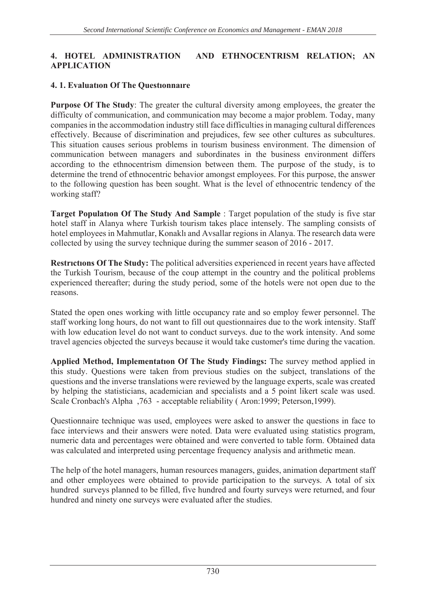### 4. HOTEL ADMINISTRATION AND ETHNOCENTRISM RELATION; AN  $APPLICATION$

### **4. 1. Evaluation Of The Questionnaire**

**Purpose Of The Study:** The greater the cultural diversity among employees, the greater the difficulty of communication, and communication may become a major problem. Today, many companies in the accommodation industry still face difficulties in managing cultural differences effectively. Because of discrimination and prejudices, few see other cultures as subcultures. This situation causes serious problems in tourism business environment. The dimension of communication between managers and subordinates in the business environment differs according to the ethnocentrism dimension between them. The purpose of the study, is to determine the trend of ethnocentric behavior amongst employees. For this purpose, the answer to the following question has been sought. What is the level of ethnocentric tendency of the working staff?

**Target Population Of The Study And Sample**: Target population of the study is five star hotel staff in Alanya where Turkish tourism takes place intensely. The sampling consists of hotel employees in Mahmutlar, Konaklı and Avsallar regions in Alanya. The research data were collected by using the survey technique during the summer season of  $2016 - 2017$ .

**Restrictions Of The Study:** The political adversities experienced in recent years have affected the Turkish Tourism, because of the coup attempt in the country and the political problems experienced thereafter; during the study period, some of the hotels were not open due to the reasons.

Stated the open ones working with little occupancy rate and so employ fewer personnel. The staff working long hours, do not want to fill out questionnaires due to the work intensity. Staff with low education level do not want to conduct surveys. due to the work intensity. And some travel agencies objected the surveys because it would take customer's time during the vacation.

Applied Method, Implementation Of The Study Findings: The survey method applied in this study. Questions were taken from previous studies on the subject, translations of the questions and the inverse translations were reviewed by the language experts, scale was created by helping the statisticians, academician and specialists and a 5 point likert scale was used. Scale Cronbach's Alpha ,763 - acceptable reliability (Aron:1999; Peterson,1999).

Questionnaire technique was used, employees were asked to answer the questions in face to face interviews and their answers were noted. Data were evaluated using statistics program, numeric data and percentages were obtained and were converted to table form. Obtained data was calculated and interpreted using percentage frequency analysis and arithmetic mean.

The help of the hotel managers, human resources managers, guides, animation department staff and other employees were obtained to provide participation to the surveys. A total of six hundred surveys planned to be filled, five hundred and fourty surveys were returned, and four hundred and ninety one surveys were evaluated after the studies.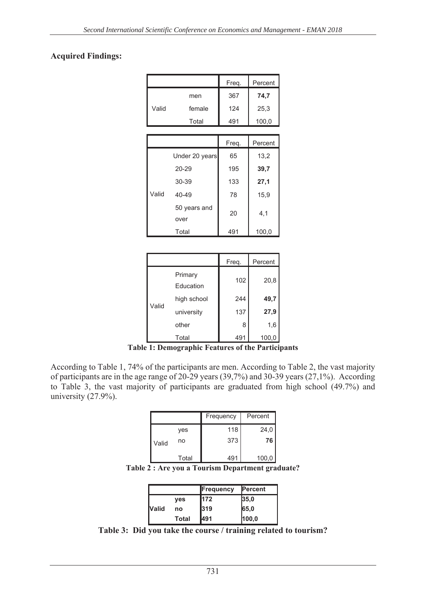### **Acquired Findings:**

|       |        | Freq. | Percent |
|-------|--------|-------|---------|
|       | men    | 367   | 74,7    |
| Valid | female | 124   | 25,3    |
|       | Total  | 491   | 100,0   |
|       |        |       |         |

|       |                      | Freq. | Percent |
|-------|----------------------|-------|---------|
|       | Under 20 years       | 65    | 13,2    |
|       | $20 - 29$            | 195   | 39,7    |
|       | 30-39                | 133   | 27,1    |
| Valid | $40 - 49$            | 78    | 15,9    |
|       | 50 years and<br>over | 20    | 4,1     |
|       | Total                | 491   | 100,0   |

|       |                      | Freq. | Percent |
|-------|----------------------|-------|---------|
| Valid | Primary<br>Education | 102   | 20,8    |
|       | high school          | 244   | 49,7    |
|       | university           | 137   | 27,9    |
|       | other                | 8     | 1,6     |
|       | Total                | 491   | 100,0   |

**7able 1: Demographic Features of the Participants** 

According to Table 1, 74% of the participants are men. According to Table 2, the vast majority of participants are in the age range of 20-29 years (39,7%) and 30-39 years (27,1%). According to Table 3, the vast majority of participants are graduated from high school  $(49.7%)$  and university  $(27.9\%)$ .

|       |       | Frequency | Percent |
|-------|-------|-----------|---------|
|       | yes   | 118       | 24,0    |
| Valid | no    | 373       | 76      |
|       | Total | 491       | 100,0   |

Table 2 : Are you a Tourism Department graduate?

|              |            | <b>Frequency</b> | <b>Percent</b> |
|--------------|------------|------------------|----------------|
|              | <b>ves</b> | 172              | 35,0           |
| <b>Nalid</b> | no         | l319             | 65,0           |
|              | Total      | l491             | 100,0          |

Table 3: Did you take the course / training related to tourism?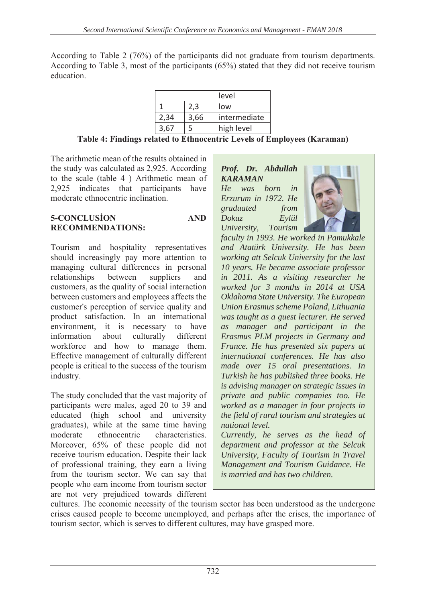According to Table 2 (76%) of the participants did not graduate from tourism departments. According to Table 3, most of the participants (65%) stated that they did not receive tourism education.

|      |      | level        |
|------|------|--------------|
|      | 2.3  | low          |
| 2,34 | 3,66 | intermediate |
| 3,67 |      | high level   |

Table 4: Findings related to Ethnocentric Levels of Employees (Karaman)

The arithmetic mean of the results obtained in the study was calculated as 2.925. According to the scale (table 4) Arithmetic mean of 2.925 indicates that participants have moderate ethnocentric inclination.

#### **5-CONCLUSION AND RECOMMENDATIONS:**

Tourism and hospitality representatives should increasingly pay more attention to managing cultural differences in personal relationships between suppliers and customers, as the quality of social interaction between customers and employees affects the customer's perception of service quality and product satisfaction. In an international environment, it is necessary to have information about culturally different workforce and how to manage them. Effective management of culturally different people is critical to the success of the tourism industry.

The study concluded that the vast majority of participants were males, aged 20 to 39 and educated (high school and university graduates), while at the same time having moderate ethnocentric characteristics. Moreover, 65% of these people did not receive tourism education. Despite their lack of professional training, they earn a living from the tourism sector. We can say that people who earn income from tourism sector are not very prejudiced towards different

#### Prof. Dr. Abdullah **KARAMAN** He was born in Erzurum in 1972. He graduated from **Dokuz** Evlül University. Tourism



faculty in 1993. He worked in Pamukkale and Atatürk University. He has been working att Selcuk University for the last 10 years. He became associate professor in 2011. As a visiting researcher he worked for 3 months in 2014 at USA Oklahoma State University. The European Union Erasmus scheme Poland, Lithuania was taught as a guest lecturer. He served as manager and participant in the Erasmus PLM projects in Germany and France. He has presented six papers at international conferences. He has also made over 15 oral presentations. In Turkish he has published three books. He is advising manager on strategic issues in private and public companies too. He worked as a manager in four projects in the field of rural tourism and strategies at national level.

Currently, he serves as the head of department and professor at the Selcuk University, Faculty of Tourism in Travel Management and Tourism Guidance. He is married and has two children

cultures. The economic necessity of the tourism sector has been understood as the undergone crises caused people to become unemployed, and perhaps after the crises, the importance of tourism sector, which is serves to different cultures, may have grasped more.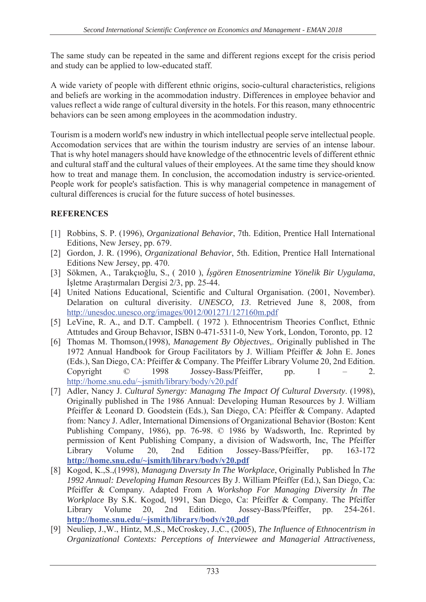The same study can be repeated in the same and different regions except for the crisis period and study can be applied to low-educated staff.

A wide variety of people with different ethnic origins, socio-cultural characteristics, religions and beliefs are working in the acommodation industry. Differences in employee behavior and values reflect a wide range of cultural diversity in the hotels. For this reason, many ethnocentric behaviors can be seen among employees in the acommodation industry.

Tourism is a modern world's new industry in which intellectual people serve intellectual people. Accomodation services that are within the tourism industry are servies of an intense labour. That is why hotel managers should have knowledge of the ethnocentric levels of different ethnic and cultural staff and the cultural values of their employees. At the same time they should know how to treat and manage them. In conclusion, the accomodation industry is service-oriented. People work for people's satisfaction. This is why managerial competence in management of cultural differences is crucial for the future success of hotel businesses.

# **REFERENCES**

- [1] Robbins, S. P. (1996), Organizational Behavior, 7th. Edition, Prentice Hall International Editions, New Jersey, pp. 679.
- [2] Gordon, J. R. (1996), *Organizational Behavior*, 5th. Edition, Prentice Hall International Editions New Jersey, pp. 470.
- [3] Sökmen, A., Tarakçıoğlu, S., (2010), İşgören Etnosentrizmine Yönelik Bir Uygulama, İşletme Araştırmaları Dergisi 2/3, pp. 25-44.
- [4] United Nations Educational, Scientific and Cultural Organisation. (2001, November). Delaration on cultural diverisity. UNESCO, 13. Retrieved June 8, 2008, from http://unesdoc.unesco.org/images/0012/001271/127160m.pdf
- [5] LeVine, R. A., and D.T. Campbell. (1972). Ethnocentrism Theories Conflict, Ethnic Attitudes and Group Behavior, ISBN 0-471-5311-0, New York, London, Toronto, pp. 12
- [6] Thomas M. Thomson, (1998), Management By Objectives,. Originally published in The 1972 Annual Handbook for Group Facilitators by J. William Pfeiffer & John E. Jones (Eds.), San Diego, CA: Pfeiffer & Company. The Pfeiffer Library Volume 20, 2nd Edition. Jossey-Bass/Pfeiffer, Copyright  $\odot$ 1998  $2.$ pp. http://home.snu.edu/~jsmith/library/body/v20.pdf
- [7] Adler, Nancy J. Cultural Synergy: Managing The Impact Of Cultural Diversity. (1998), Originally published in The 1986 Annual: Developing Human Resources by J. William Pfeiffer & Leonard D. Goodstein (Eds.), San Diego, CA: Pfeiffer & Company. Adapted from: Nancy J. Adler, International Dimensions of Organizational Behavior (Boston: Kent Publishing Company, 1986), pp. 76-98. © 1986 by Wadsworth, Inc. Reprinted by permission of Kent Publishing Company, a division of Wadsworth, Inc, The Pfeiffer Volume Edition Library 20.  $2nd$ Jossey-Bass/Pfeiffer. pp.  $163 - 172$ http://home.snu.edu/~jsmith/library/body/v20.pdf
- [8] Kogod, K., S., (1998), Managing Diversity In The Workplace, Originally Published In The 1992 Annual: Developing Human Resources By J. William Pfeiffer (Ed.), San Diego, Ca: Pfeiffer & Company. Adapted From A Workshop For Managing Diversity In The Workplace By S.K. Kogod, 1991, San Diego, Ca: Pfeiffer & Company. The Pfeiffer Volume 20, 2nd Edition. Jossey-Bass/Pfeiffer, Library pp. 254-261. http://home.snu.edu/~jsmith/library/body/v20.pdf
- [9] Neuliep, J.,W., Hintz, M.,S., McCroskey, J.,C., (2005), The Influence of Ethnocentrism in Organizational Contexts: Perceptions of Interviewee and Managerial Attractiveness,